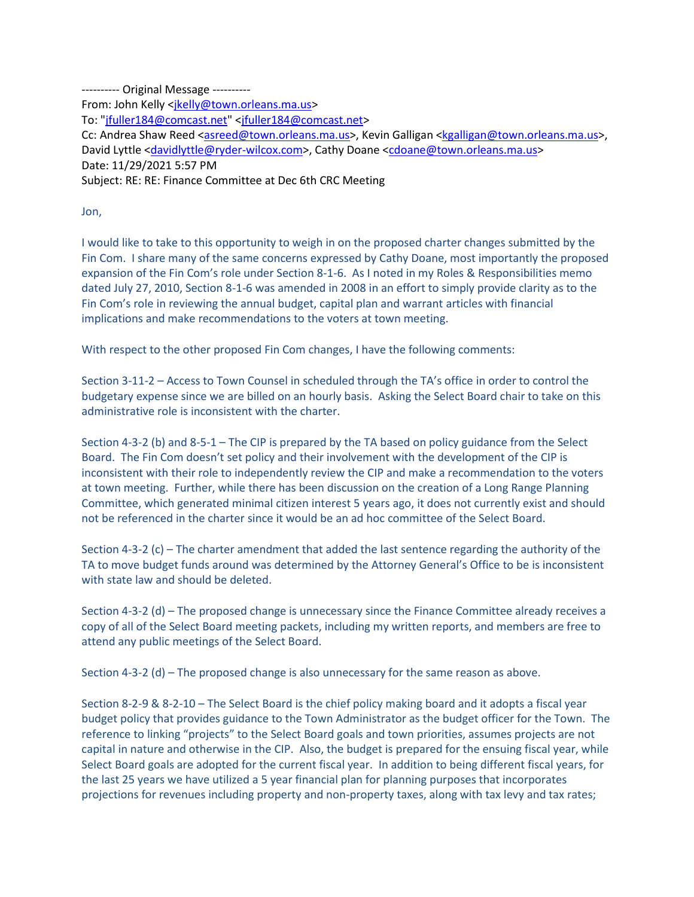---------- Original Message ---------- From: John Kelly [<jkelly@town.orleans.ma.us>](mailto:jkelly@town.orleans.ma.us) To: ["jfuller184@comcast.net"](mailto:jfuller184@comcast.net) [<jfuller184@comcast.net>](mailto:jfuller184@comcast.net) Cc: Andrea Shaw Reed [<asreed@town.orleans.ma.us>](mailto:asreed@town.orleans.ma.us), Kevin Galligan [<kgalligan@town.orleans.ma.us>](mailto:kgalligan@town.orleans.ma.us), David Lyttle [<davidlyttle@ryder-wilcox.com>](mailto:davidlyttle@ryder-wilcox.com), Cathy Doane [<cdoane@town.orleans.ma.us>](mailto:cdoane@town.orleans.ma.us) Date: 11/29/2021 5:57 PM Subject: RE: RE: Finance Committee at Dec 6th CRC Meeting

Jon,

I would like to take to this opportunity to weigh in on the proposed charter changes submitted by the Fin Com. I share many of the same concerns expressed by Cathy Doane, most importantly the proposed expansion of the Fin Com's role under Section 8-1-6. As I noted in my Roles & Responsibilities memo dated July 27, 2010, Section 8-1-6 was amended in 2008 in an effort to simply provide clarity as to the Fin Com's role in reviewing the annual budget, capital plan and warrant articles with financial implications and make recommendations to the voters at town meeting.

With respect to the other proposed Fin Com changes, I have the following comments:

Section 3-11-2 – Access to Town Counsel in scheduled through the TA's office in order to control the budgetary expense since we are billed on an hourly basis. Asking the Select Board chair to take on this administrative role is inconsistent with the charter.

Section 4-3-2 (b) and 8-5-1 – The CIP is prepared by the TA based on policy guidance from the Select Board. The Fin Com doesn't set policy and their involvement with the development of the CIP is inconsistent with their role to independently review the CIP and make a recommendation to the voters at town meeting. Further, while there has been discussion on the creation of a Long Range Planning Committee, which generated minimal citizen interest 5 years ago, it does not currently exist and should not be referenced in the charter since it would be an ad hoc committee of the Select Board.

Section 4-3-2 (c) – The charter amendment that added the last sentence regarding the authority of the TA to move budget funds around was determined by the Attorney General's Office to be is inconsistent with state law and should be deleted.

Section 4-3-2 (d) – The proposed change is unnecessary since the Finance Committee already receives a copy of all of the Select Board meeting packets, including my written reports, and members are free to attend any public meetings of the Select Board.

Section 4-3-2 (d) – The proposed change is also unnecessary for the same reason as above.

Section 8-2-9 & 8-2-10 – The Select Board is the chief policy making board and it adopts a fiscal year budget policy that provides guidance to the Town Administrator as the budget officer for the Town. The reference to linking "projects" to the Select Board goals and town priorities, assumes projects are not capital in nature and otherwise in the CIP. Also, the budget is prepared for the ensuing fiscal year, while Select Board goals are adopted for the current fiscal year. In addition to being different fiscal years, for the last 25 years we have utilized a 5 year financial plan for planning purposes that incorporates projections for revenues including property and non-property taxes, along with tax levy and tax rates;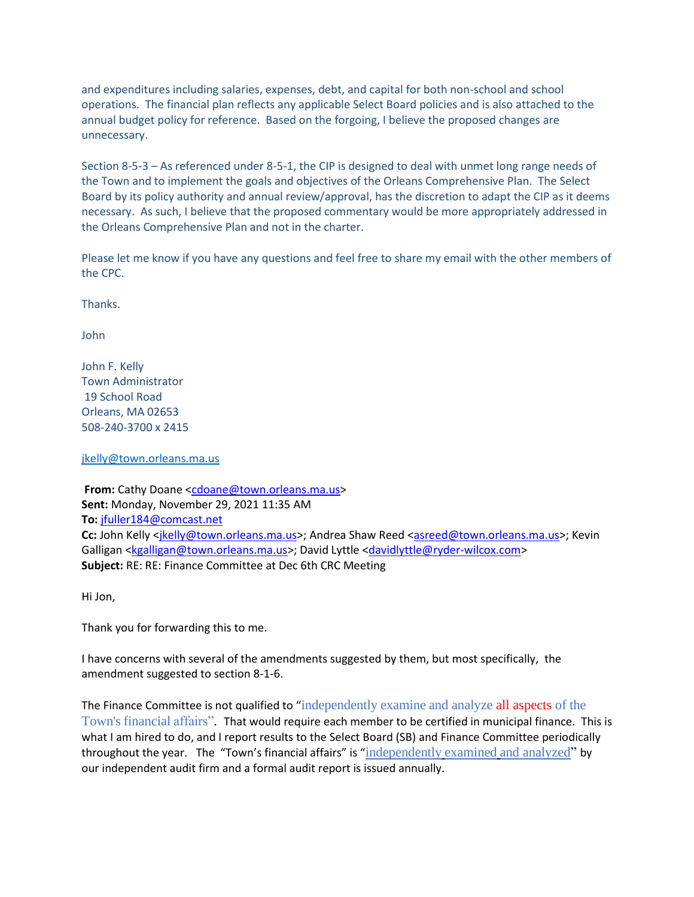and expenditures including salaries, expenses, debt, and capital for both non-school and school operations. The financial plan reflects any applicable Select Board policies and is also attached to the annual budget policy for reference. Based on the forgoing, I believe the proposed changes are unnecessary.

Section 8-5-3 – As referenced under 8-5-1, the CIP is designed to deal with unmet long range needs of the Town and to implement the goals and objectives of the Orleans Comprehensive Plan. The Select Board by its policy authority and annual review/approval, has the discretion to adapt the CIP as it deems necessary. As such, I believe that the proposed commentary would be more appropriately addressed in the Orleans Comprehensive Plan and not in the charter.

Please let me know if you have any questions and feel free to share my email with the other members of the CPC.

Thanks.

John

John F. Kelly Town Administrator 19 School Road Orleans, MA 02653 508-240-3700 x 2415

[jkelly@town.orleans.ma.us](mailto:jkelly@town.orleans.ma.us)

**From:** Cathy Doane [<cdoane@town.orleans.ma.us>](mailto:cdoane@town.orleans.ma.us) **Sent:** Monday, November 29, 2021 11:35 AM **To:** [jfuller184@comcast.net](mailto:jfuller184@comcast.net) Cc: John Kelly <*jkelly@town.orleans.ma.us>*; Andrea Shaw Reed [<asreed@town.orleans.ma.us>](mailto:asreed@town.orleans.ma.us); Kevin Galligan [<kgalligan@town.orleans.ma.us>](mailto:kgalligan@town.orleans.ma.us); David Lyttle [<davidlyttle@ryder-wilcox.com>](mailto:davidlyttle@ryder-wilcox.com) **Subject:** RE: RE: Finance Committee at Dec 6th CRC Meeting

Hi Jon,

Thank you for forwarding this to me.

I have concerns with several of the amendments suggested by them, but most specifically, the amendment suggested to section 8-1-6.

The Finance Committee is not qualified to "independently examine and analyze all aspects of the Town's financial affairs". That would require each member to be certified in municipal finance. This is what I am hired to do, and I report results to the Select Board (SB) and Finance Committee periodically throughout the year. The "Town's financial affairs" is "independently examined and analyzed" by our independent audit firm and a formal audit report is issued annually.